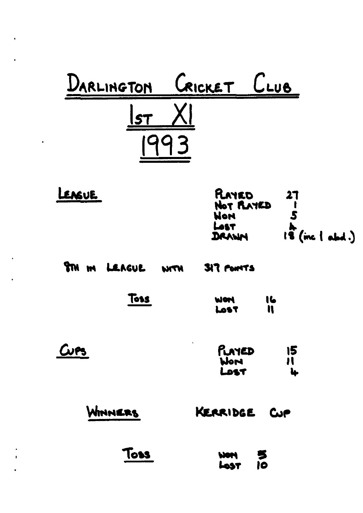

| LEASUE | RAYED                |                              |
|--------|----------------------|------------------------------|
|        | NOT PLAYED<br>Nor    |                              |
|        | <b>Lest</b><br>DRANN | $1\overline{3}$ (inc   abd.) |

|  | <b>STM IM LEAGUE WITH</b> | <b>SIT FONTS</b> |
|--|---------------------------|------------------|
|  |                           |                  |

| Toss | <b>WOM</b>  | 16 |
|------|-------------|----|
|      | <b>Lost</b> | n  |

| $Cv$ es | PLAYED<br>Word | 15 |  |
|---------|----------------|----|--|
|         | LOST           | Ļ. |  |

| WINNERS | KERRIDGE | Cup |
|---------|----------|-----|
|         |          |     |

| Toss | WOM  | 5    |
|------|------|------|
|      | LOST | - 10 |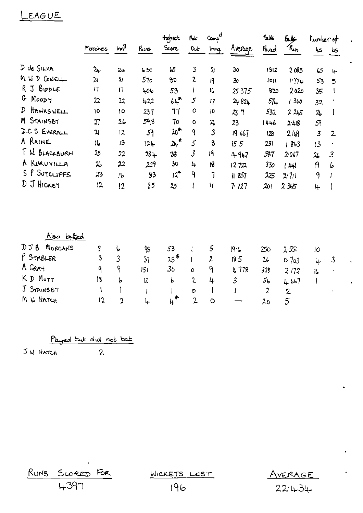#### EAGUE

|                            |                         |                 |                | Highest           | بما                      | a<br>Comp <sup>-</sup>      |                 | <b>falk</b>    | علامكا         | Mumber of                  |                |
|----------------------------|-------------------------|-----------------|----------------|-------------------|--------------------------|-----------------------------|-----------------|----------------|----------------|----------------------------|----------------|
|                            | Matches                 | Im <sup>9</sup> | حينه           | Score             | Out                      | Innq                        | Average         | Fred           | $k_{\mu}$      | ڪيا                        | ڪط             |
| D de SILVA                 | $2+$                    | $2 +$           | 0ج ما          | 45                | $\overline{\mathbf{3}}$  | $\boldsymbol{\mathfrak{d}}$ | 30              | 1312           | 203            | 65                         | $\downarrow$   |
| M W D CONELL               | 21                      | 21              | 570            | 90                | $\overline{2}$           | 19                          | 30 <sub>o</sub> | 1011           | 171.           | 53                         | 5              |
| R J BIDDLE                 | $\mathsf{I}$            | 17              | 406            | 53                | $\mathsf{I}$             | 16                          | 25 37 5         | 820            | 2020           | 35                         | $\mathbf{I}$   |
| G Moopy                    | 22                      | 22              | 422            | $64$ <sup>*</sup> | 5                        | 17                          | 24.824          | $57+$          | 1360           | 32                         |                |
| HAWKSWELL<br>$\mathcal{D}$ | 10                      | $\overline{0}$  | 237            | 77                | 0                        | 10                          | 23 7            | 532            | 225            | $\frac{2}{5}$              | $\mathbf{l}$   |
| M STAINSBY                 | 27                      | 2 <sub>b</sub>  | 598            | 70                | $\circ$                  | $\mathbf{z}$                | 23              | $14 + 6$       | 2.418          | 59                         |                |
| D.C S EVERALL              | 거                       | 12              | 59             | $20^*$            | 9                        | $\mathfrak z$               | 19667           | 128            | 210            | $\boldsymbol{\mathcal{S}}$ | $\overline{2}$ |
| A RAINE                    | $\mathsf{H}_\mathsf{0}$ | 13              | $12 +$         | $2+$              | $\mathcal{L}$            | 8                           | 155             | 231            | 1863           | 13                         |                |
| T W BLACKBURN              | 25                      | 22              | $28 +$         | 38                | $\overline{\mathcal{S}}$ | 19                          | 447             | 587            | 2.067          | 26                         | $\mathfrak{Z}$ |
| A KURUVILLA                | 26                      | 22              | 229            | 30                | 4                        | 18                          | 12722           | 330            | 144            | N                          | 6              |
| S P SUTCLIFFE              | 23                      | IЬ              | 83             | $12^{\bullet}$    | ٩                        | J                           | 11 857          | 225            | 2.71           | 9                          |                |
| D J HICKEY                 | 12                      | 12              | 85             | 25                | ł                        | $\mathcal{H}$               | 7.727           | 20۱            | 2365           | 4                          |                |
| <u>Also latted</u>         |                         |                 |                |                   |                          |                             |                 |                |                |                            |                |
| MORGANS<br>DJ B            | g                       | 6               | 98             | 53                |                          | 5                           | 19.6            | 250            | 2.551          | 10                         |                |
| $P$ STABLER                | 3                       | $\overline{3}$  | 37             | $25*$             | ŧ                        | $\mathbf{z}$                | 135             | 26             | 07a3           |                            | $\mathcal{Z}$  |
| A GRAY                     | ٩                       | ٩               | 5              | 30 <sub>o</sub>   | $\circ$                  | ٩                           | k 778           | 328            | 2172           | 4                          |                |
| KD MOTT                    | $\overline{\mathbf{3}}$ | 6               | $\overline{2}$ | b                 | $\mathbf{c}$             | 4                           | $\mathfrak{Z}$  | 5 <sub>b</sub> | 467            | مكا<br>$\mathsf{I}$        |                |
| J STAINSBY                 | ١                       |                 | T              |                   | $\mathbf{\circ}$         |                             | I               | $\overline{2}$ | $\overline{2}$ |                            |                |
| M W HATCH                  | $\overline{12}$         | 2               | 4              | $\mu^*$           | $\overline{2}$           | $\circ$                     |                 | 20             | 5              |                            |                |

Played but did not bat

J N HATCH

 $\overline{2}$ 

RUNS SCORED FOR

WICKETS LOST

AVERAGE<br>22:434

196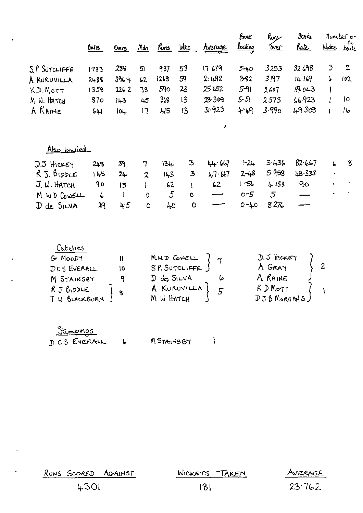| $\bullet$ |               |              |       |                |                  |             |                | Best                | Rus   | 30 <sub>h</sub> | number o- |                    |
|-----------|---------------|--------------|-------|----------------|------------------|-------------|----------------|---------------------|-------|-----------------|-----------|--------------------|
|           |               | <b>Boils</b> | 0cos  | Mdn            | <u>Runs</u> With |             | <u>Average</u> | $f_{\text{tubing}}$ | over  | <u>Rate</u>     | Wides     | nc<br><u>baile</u> |
|           | S.P SUTCLIFFE | 1733         | 288   | 51             | 937              | 53          | 17 679         | $5 - 40$            | 3253  | 32698           | 3         | $\mathbf{2}$       |
|           | A KURUVILLA   | 2488         | 396.4 | 62             | 1218             | 59          | 211.92         | $8-32$              | 3197  | 14169           | b         | 102                |
|           | K.D. MOTT     | 1358         | 2262  | 73             | 590              | 23          | 25 652         | $5 - 91$            | 2607  | 57043           |           |                    |
|           | M. W. HATCH   | 870          | 143   | 45             | 363              | 13          | 28308          | $5 - 51$            | 2573  | 66.923          |           | 10                 |
|           | A RAINE       | 641          | 10L   | 17             | 45               | 13          | 31.923         | 4-49                | 3.990 | 49308           |           | 16                 |
|           |               |              |       |                |                  |             | $\mathbf{r}$   |                     |       |                 |           |                    |
|           | Also bowled   |              |       |                |                  |             |                |                     |       |                 |           |                    |
|           | $D.5$ HCKEY   | 243          | 39    | 7              | 134              | 3           | 44.667         | $1 - 24$            | 3436  | 82657           | 6         | 8                  |
|           | $R$ J. BIDDLE | 145          | سلا   | $\overline{2}$ | 143              | 3           | 4767           | $2 - 48$            | 5958  | LB 333          | $\bullet$ | $\bullet$          |
|           | J. W. HATCH   | 9o           | 15    |                | 62               |             | 62             | $1 - 52$            | 4133  | 9 <sub>O</sub>  | $\bullet$ |                    |
|           | M WD CONELL   | $\epsilon$   |       | D              | $5\overline{)}$  | $\circ$     |                | $0 - 5$             | 5     |                 | ٠         |                    |
|           | D de SILVA    | 29           | 4.5   | $\circ$        | 40               | $\mathsf O$ |                | $0 - 40$            | 8276  |                 |           |                    |
|           |               |              |       |                |                  |             |                |                     |       |                 |           |                    |

| Catches                 |    |                          |                                          |
|-------------------------|----|--------------------------|------------------------------------------|
| G MOODY                 |    | MW.D CONELL              | $J.5$ there $\gamma$                     |
| DCS EVERALL             | 10 | SP. SUTCLIFFE            | A GRAY                                   |
| M STAINSBY              |    | $D$ de $S_{I}LVA$        | A RAINE                                  |
| RJBDDE<br>I W BLACKBURN | 9  | A KURUVILLA<br>M W HATCH | $K$ $D$ $M_{\text{oTT}}$<br>DJB MORGALS) |

| <u>Stimpings</u> |           |  |
|------------------|-----------|--|
| DCS EVERALL      | MSTAINSBY |  |

 $\mathcal{L}^{(1)}$  .

 $\label{eq:2.1} \frac{1}{\sqrt{2}}\sum_{i=1}^n\frac{1}{\sqrt{2}}\sum_{i=1}^n\frac{1}{\sqrt{2}}\sum_{i=1}^n\frac{1}{\sqrt{2}}\sum_{i=1}^n\frac{1}{\sqrt{2}}\sum_{i=1}^n\frac{1}{\sqrt{2}}\sum_{i=1}^n\frac{1}{\sqrt{2}}\sum_{i=1}^n\frac{1}{\sqrt{2}}\sum_{i=1}^n\frac{1}{\sqrt{2}}\sum_{i=1}^n\frac{1}{\sqrt{2}}\sum_{i=1}^n\frac{1}{\sqrt{2}}\sum_{i=1}^n\frac$ 

 $\mathcal{L}^{\text{max}}$ 

| ۰. | RUNS SCORED AGAINST | WICKETS TAKEN | AVERAGE |
|----|---------------------|---------------|---------|
|    | <b>4301</b>         | 8             | 23.762  |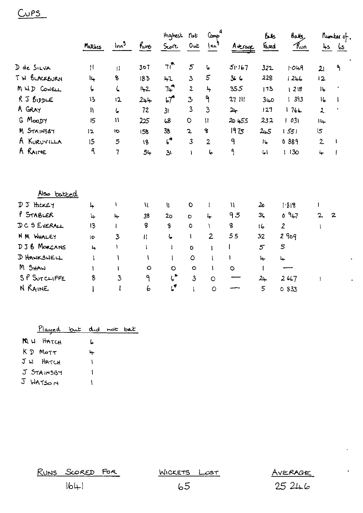## $Cups$

|                                |              |                           |              | Highest                        | Not                     | $G_{\text{exp}}$                      |              | ЬЬ              | روالمه       |                | Rumber of,     |
|--------------------------------|--------------|---------------------------|--------------|--------------------------------|-------------------------|---------------------------------------|--------------|-----------------|--------------|----------------|----------------|
|                                | Motches      | $\frac{\ln n^3}{n}$       | Kuns         | Score                          | Out                     | $\mathbf{m}$                          | Average      | المعمآ          | Run          |                | <u>لمه لمه</u> |
| D de SILVA                     | Ħ            | $\mathbf{H}$              | 301          | 71                             | 5                       | 6                                     | 51.167       | 322             | 1.049        | 21             | ٩              |
| TW BLACKBURH                   | Ìц.          | 8                         | 183          | 42                             | $\mathbf{3}$            | 5                                     | 3.6          | 228             | 1246         | 12             |                |
| M WD COWELL                    | ζ,           | ί                         | $11 - 2$     | $7 + 7$                        | 2                       | 4                                     | 355          | 173             | 1218         | 14             |                |
| $R$ J $B$ <sub>1</sub> $p$ $E$ | 13           | 12                        | $2 + 1$      | $57^{\circ}$                   | 3                       | ٩                                     | 27 111       | 3 <sub>40</sub> | 1393         | ۱6             |                |
| A GRAY                         | łł.          | Ļ.                        | 12           | 3 <sub>l</sub>                 | 3                       | $\mathbf{3}$                          | جا2          | 127             | 1764         | $\lambda$      |                |
| G MOODY                        | 15           | $\boldsymbol{\mathsf{N}}$ | 225          | 68                             | $\mathsf O$             | $\begin{array}{c} \hline \end{array}$ | 20455        | 232             | 1031         | $1 +$          |                |
| M STAINS87                     | 12           | <b>IO</b>                 | 158          | 38                             | $\mathbf{z}$            | 8                                     | 1975         | 245             | 1551         | $\overline{5}$ |                |
| A KURUVILLA                    | 15           | 5                         | 18           | $\mathfrak{c}^{\star}$         | $\overline{\mathbf{3}}$ | $\overline{2}$                        | 9            | $\mathbf{R}$    | 0 889        | $\mathbf{2}$   | $\blacksquare$ |
| A RAINE                        | ٩            | 7                         | $54 -$       | 31                             | f.                      | ما                                    | ۹            | $\mathbf{G}$    | 1130         | 4              | -1             |
|                                |              |                           |              |                                |                         |                                       |              |                 |              |                |                |
| Also batted                    |              |                           |              |                                |                         |                                       |              |                 |              |                |                |
| DJ HICKEY                      | 4            | A.                        | $\mathbf{u}$ | I)                             | $\mathbf O$             | Ł                                     | W            | 20              | 1.818        | T              |                |
| P STABLER                      | $\downarrow$ | 4                         | 38           | 2 <sub>o</sub>                 | $\circ$                 | 4                                     | 95           | 3 <sub>1</sub>  | 0.947        | $\overline{2}$ | $\mathbf{z}$   |
| DC S EVERALL                   | 13           | <sup>1</sup>              | 8            | 8                              | $\circ$                 | A.                                    | 8            | 16              | $\mathbf{2}$ | 1              |                |
| N M WHALEY                     | lo           | 3                         | $\mathbf{H}$ | ما                             | J.                      | $\overline{2}$                        | 55           | 32              | 2909         |                |                |
| DJ B MORGANS                   | $\ddot{ }$   | ł.                        | $\mathbf{I}$ | $\mathbf{1}$                   | $\mathsf D$             | 1                                     | $\mathbf{I}$ | $\mathfrak{s}$  | 5            |                |                |
| <b>D HAWKSWELL</b>             | 1            | ١                         | A            | $\mathbf{I}$                   | $\circ$                 | $\mathbf{I}$                          | Ł            | جا              | μ.           |                |                |
| M SHAW                         | 1            | $\mathbf{I}$              | $\circ$      | $\circ$                        | $\circ$                 | 1                                     | $\circ$      | $\mathbf{I}$    |              |                |                |
| SP SUTCLIFFE                   | 8            | $\overline{3}$            | ٩            | $\boldsymbol{\zeta}^{\bullet}$ | 3                       | $\circ$                               |              | $2 +$           | 2667         | 1              |                |
| N RAINE                        |              | ł                         | 6            | $\mathfrak{c}^{\bullet}$       | ١                       | $\circ$                               |              | 5               | 0 833        |                |                |

| <u>Played but did not bat</u> |    |  |
|-------------------------------|----|--|
| M H HATCH                     | L  |  |
| $KD$ Morr                     | ц. |  |
| JW HATCH                      |    |  |
| J STAINSBY                    |    |  |
| J WATSOM                      |    |  |

RUNS SCORED FOR

<u> WICKETS LOST</u>

AVERAGE  $25246$ 

 $\ddot{\phantom{a}}$ 

 $1641$ 

 $65$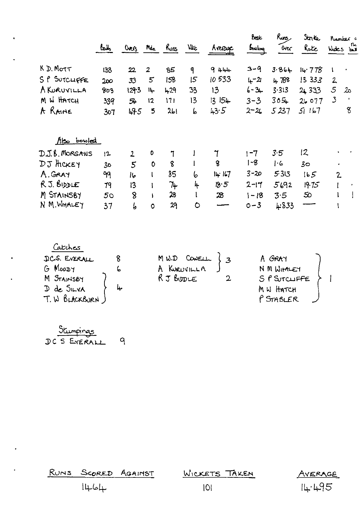|                    | tally  | Overs            | Mdn            | Runs        | <b>N</b> tt  | Areage                 | لتحظ<br>bouling | Rurs,<br><b>Over</b> | Stn te<br>Rate  | Kuntar a<br>n.<br>Wates but     |
|--------------------|--------|------------------|----------------|-------------|--------------|------------------------|-----------------|----------------------|-----------------|---------------------------------|
| K D. MOTT          | 133    | 22               | $\overline{2}$ | 85          | $\mathbf{q}$ | 9444                   | 3-9             | 3.864                | 14.778          | 1<br>$\bullet$                  |
| SP SUTCLIFFE       | 200    | 33               | $5^{\circ}$    | 158         | 5            | 10533                  | $L - 2$         | 4788                 | 13333           | $\mathbf{2}$                    |
| <b>A KURUVILLA</b> | 803    | 129.3            | 14.            | 429         | 33           | 13                     | $6 - 3 +$       | 3.313                | 2,333           | 5<br>م2                         |
| M W HATCH          | 339    | 56               | 12             | 171         | 13           | 154<br>13 <sup>1</sup> | $3 - 3$         | $305 +$              | 26077           | $\mathcal{Z}$<br>$\blacksquare$ |
| A RAINE            | 307    | 49.5             | 5              | 261         | Ь            | 43.5                   | $2 - 26$        | 5237                 | 51167           | 8                               |
| Also bowled        |        |                  |                |             |              |                        |                 |                      |                 |                                 |
| D.J.B. MORGANS     | $12 -$ | $\mathbf{2}$     | 0              | $\mathbf 7$ |              | 7                      | $1 - 7$         | 3.5                  | 12              |                                 |
| DJ HCKEY           | 3٥     | 5                | 0              | 8           |              | 8                      | $1 - 8$         | 1.6                  | 30 <sub>o</sub> | $\bullet$                       |
| A. GRAY            | 99     | عاا              | l              | 85          | 6            | 14.167                 | 20-3            | 5.313                | 165             | $\mathbf{2}$                    |
| R.J. BIDDLE        | 79     | 13               |                | 74          | 4            | 18.5                   | $2 - 17$        | 5692                 | 19.75           |                                 |
| M STAINSBY         | 50     | $\boldsymbol{8}$ |                | 28          |              | 28                     | $1 - 18$        | 3.5                  | 50              |                                 |
| N M. WHALEY        | 37     | 6                | $\circ$        | 29          | $\circ$      |                        | $0 - 3$         | 4.833                |                 |                                 |

| Catches        |     |             |              |
|----------------|-----|-------------|--------------|
| DCS. EVERALL   |     | MW.D CONELL | A GRAY       |
| G MOODY        | ь   | A KURUVILLA | N M WITHLEY  |
| M STAINSBY     |     | R J BUDLE   | SP SUTCLIFFE |
| D de SILVA     | مدا |             | M W HATCH    |
| T. W BLACKBURN |     |             | P STABLER    |
|                |     |             |              |

Stumpings<br>DC 5 EYERALL 9

 $\ddot{\phantom{a}}$ 

 $\ddot{\phantom{0}}$ 

|      | RUNS SCORED AGAINST | WICKETS TAKEN | AVERAGE |
|------|---------------------|---------------|---------|
| 1464 |                     | IOI           | 14.495  |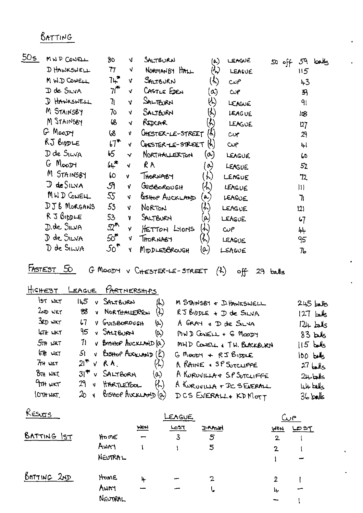#### BATTING

| ാധട | MND CONELL                                      | 80                            | <b>V</b> | SALTBURN                                     | (م)                                | LEAGUE     | 59 balls<br>11° 05 |
|-----|-------------------------------------------------|-------------------------------|----------|----------------------------------------------|------------------------------------|------------|--------------------|
|     | D HAWKSWELL                                     | 77                            | V        | NORMANBY HALL                                | ヘン                                 | LEAGUE     | 115                |
|     | M W.D COWELL                                    | 74                            | v        | SALTBURN                                     | $(\gamma)$                         | حملت       | 43                 |
|     | D de Silva                                      | 7r                            | V.       | CASTLE EDEN                                  | $\omega$                           | $\omega$ p | 39                 |
|     | D HAWKSWELL                                     | 71                            | V.       | SALTBURN                                     | YY)                                | LEAGUE     | 91                 |
|     | M STAINSBY                                      | 70                            | V.       | SALTEURN                                     | $\langle \cdot \rangle$            | LEAGUE     | 108                |
|     | M STAINSBY                                      | 68                            | N.       | Rogene                                       | $\langle \kappa \rangle$           | LEAGUE     | 127                |
|     | G MOODY                                         | 68                            | v.       | UNESTER-LE-STREET                            | (f)                                | cv         | 29                 |
|     | RJ BIDDLE                                       | $67$ <sup>*</sup>             | v.       | CHESTER-LE-STREET                            | (h)                                | <b>CUP</b> | 뉘                  |
|     | D de SILVA                                      | 65                            | Ñ.       | NORTHALLERTON                                | $(\boldsymbol{\alpha})$            | LEAGUE     | 60                 |
|     | G Moost                                         | 64                            | V        | RA                                           | $\alpha$                           | LEAGUE     | 52                 |
|     | M STAINSBY                                      | 60                            | v        | THORNABY                                     | $\left\langle \cdot \right\rangle$ | LENGUE     | 72                 |
|     | $D$ de $SINA$                                   | ઝ                             | Y.       | GUISBOROUGH<br>$\mathcal{K}$                 |                                    | LEAGUE     | Ш                  |
|     | MND CONELL                                      | 55                            | V.       | GISHOP AUCKLAND<br>$\left(\mathbf{R}\right)$ |                                    | LEAGUE     | ٦                  |
|     | DJB MORGANS                                     | 53                            | v.       | NORTON<br>$\left( 4, \right)$                |                                    | LEAGUE     | 2                  |
|     | $R$ J $\beta$ <sub>1</sub> $p$ $\mu$ $\epsilon$ | 53                            | Y        | SALTBURN<br>(م                               |                                    | LEAGUE     | $\mathsf{L}$       |
|     | D.de SILVA                                      | $\mathfrak{D}^{\prime\prime}$ | v        | HETTON LIONS<br>lm.                          |                                    | $\omega$ م | 44                 |
|     | D de SILVA                                      | 50 <sup>4</sup>               | V        | $\lambda$<br>THORNABY                        |                                    | LEAGUE     | 95                 |
|     | D de SILVA                                      | $50^{\bullet}$                | Y        | MIDDLESBROUGH<br>(a)                         |                                    | LEAGUE     | 76                 |
|     |                                                 |                               |          |                                              |                                    |            |                    |

FASTEST 50 G MOODY V CHESTER-LE-STREET (2) off 29 balls

HICHEST LEAGUE PARTNERSHIPS

| IST WKT            | $145$ v SALTBURN<br>从                             | M STAINSBY & DHAWKSWELL    | $245$ $\underline{L}$ |
|--------------------|---------------------------------------------------|----------------------------|-----------------------|
| $2$ ND WKT         | $\omega$<br>88 V NORTHALLERTON                    | $RJ$ BIDDLE + $D$ de SILVA | $127$ both            |
| 3RD WKT            | V GUISBORDUGH<br>L7<br>$(\sigma)$                 | A GRAY & D de SILVA        | $124$ $km/s$          |
| <b>LTH</b> WKT     | 95 V SALTBURN<br>$(\infty)$                       | $MJD$ CONELL + G MOODY     | $83$ by               |
| 5 <del>m</del> ukt | $11$ v Brsttop Auckland (a)                       | MHD CONELL & TW. BLACKBURN | $15$ balls            |
| $64$ WKT           | $51$ v Bistrop AUCKLAND $(R)$                     | $G$ MOODY + $RJ$ BIDLE     | $100$ bits            |
| $7n$ wat           | $\langle \mathcal{X} \rangle$<br>$2i^*$ v $R A$ , | A RAINE . SP SUTCLIFFE     | $27$ bolls            |
| $85H$ WKT          | $31$ <sup>#</sup> $v$ SALTEVRN<br>(0)             | A KURUVILLA & SP SUTCLIFFE | $2+$ bels             |
| $9$ TH WKT         | 29 V HARTLEPOOL<br>(K)                            | A KURUVILLA + DC SEVERALL  | hit bels              |
| DTHWAT             | $20 \times 6$ is the Averent $(a)$                | DCS EVERALL & KD MOTT      | $36$ balls            |

| RESU <u>TS</u> |            |     | LEAGUE         |      |              | Cur |        |
|----------------|------------|-----|----------------|------|--------------|-----|--------|
|                |            | MON | <b>LoST</b>    | DAMN | WON          |     | ۵۵۳ کا |
| BATTING IST    | HOME       | -   | $\overline{3}$ | 5    | $\mathbf{2}$ |     |        |
|                | <b>AwA</b> |     |                | 5    | $\mathbf 2$  |     |        |
|                | NEUTRAL    |     |                |      |              |     |        |
| BATTING 2ND    | HOME       | 4   |                | 2    | 2            |     |        |
|                | Awry       |     |                | ı.   | جا           |     |        |
|                | NEUTRAL    |     |                |      |              |     |        |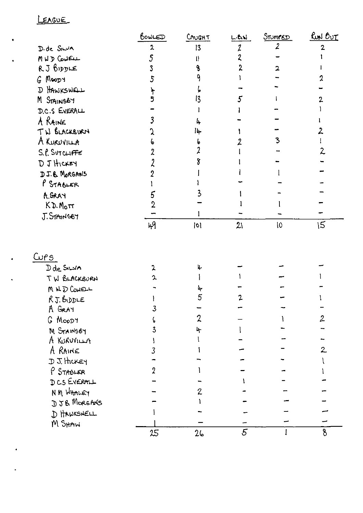#### LEAGUE

|                | BowLED         | CAUGHT | LBD            | STUMPED                  | <u>Run Out</u>           |
|----------------|----------------|--------|----------------|--------------------------|--------------------------|
| D. de SILVA    | $\mathbf{2}$   | 13     | 2              | $\overline{\mathcal{L}}$ | 2                        |
| MUD COWELL     | 5              | tŀ     | 2              |                          |                          |
| R. J 6155LE    |                |        |                |                          |                          |
| G MOODY        |                |        |                |                          |                          |
| D HAWKSWELL    |                |        |                |                          |                          |
| M STAINSBY     |                | 13     |                |                          |                          |
| D.C.S EVERALL  |                |        |                |                          |                          |
| A RAINE        |                | 4      |                |                          |                          |
| TW BLACKBURN   |                | 14     |                |                          | 2                        |
| A KURUVILLA    |                |        |                | 3                        |                          |
| S.P. SUTCLIFFE |                |        |                |                          | $\overline{\mathcal{L}}$ |
| DJ HICKEY      |                |        |                |                          |                          |
| D.J. & MORGANS |                |        |                |                          |                          |
| P STABLER      |                |        |                |                          |                          |
| KGRAY          |                |        |                |                          |                          |
| $KD.M_0$ rr    | $\overline{2}$ |        |                |                          |                          |
| J. STAINSB7    |                |        |                |                          |                          |
|                | 49             | 0      | 21             | IO                       | 15                       |
|                |                |        |                |                          |                          |
| Cu <u>rs</u>   |                |        |                |                          |                          |
| Dde SINA       | 2              |        |                |                          |                          |
| TW BLACKBURN   | 2              |        |                |                          |                          |
| MNDCONEL       |                |        |                |                          |                          |
| $RJ.$ BIDDLE   |                | 5      |                |                          |                          |
| A GRAY         |                |        |                |                          |                          |
| G MOODT        |                | 2      |                |                          | $\overline{2}$           |
| M STAINSBY     |                | ት      |                |                          |                          |
| A KURUVILLA    |                |        |                |                          |                          |
| A RAINE        |                |        |                |                          | $\overline{2}$           |
| DJ. HICKEY     |                |        |                |                          |                          |
| P STABLER      |                |        |                |                          |                          |
| DCS EVERALL    |                |        |                |                          |                          |
| NM WHALEY      |                | 2      |                |                          |                          |
| DJ& MORGANS    |                |        |                |                          |                          |
| D HAWKSNELL    |                |        |                |                          |                          |
| M SHAW         |                |        |                |                          |                          |
|                | 25             | 26     | $\overline{5}$ |                          | 8                        |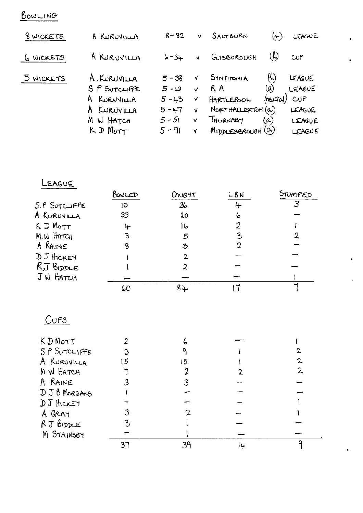## BOWLING

| 8 WICKETS | A KURUVILLA            | $8 - 82$ | v            | SALTBURN                 | (ん)                        | <b>LEAGUE</b> |
|-----------|------------------------|----------|--------------|--------------------------|----------------------------|---------------|
| 6 WICKETS | A KURUVILLA            | $6 - 34$ | $\mathbf{v}$ | GUISBOROUGH              | $(\mathfrak{t})$           | CUP           |
| 5 WICKETS | A. KURUVILLA           | $5 - 38$ | Ý.           | SINTHONIA                | $\left(\mathcal{L}\right)$ | LEAGUE        |
|           | SP SUTCLIFFE           | ى - 5    | $\checkmark$ | R A                      | (a)                        | LEAGUE        |
|           | A KURNVILLA            | $5 - 43$ | Y            | HARTLEPOOL               | (noutral)                  | $C\cup P$     |
|           | A KURUVILLA            | $5 - 17$ | v            | $N$ ORTHALLERTON $(a)$   |                            | <b>LEAGUE</b> |
|           | M W HATCH              | $5 - 51$ | $\checkmark$ | THORNABY                 | $(\alpha)$                 | LEAGUE        |
|           | $K$ D $M_{\text{OTT}}$ | $5 - 91$ | Y            | $M_1$ ppLESBROUGH $(\&)$ |                            | LEAGUE        |

## LEAGUE

|                  | BOWLED | CAUGHT                      | L B N | STUMPED |
|------------------|--------|-----------------------------|-------|---------|
| S.P SUTCLIFFE    | 10     | $\mathcal{Z}_{\mathcal{D}}$ | 4     | 3       |
| A KURUVILLA      | 33     | 20                          | 6     |         |
| K D MOTT         | 4      | عاا                         |       |         |
| M.W HATCH        | 3      | 5                           | 3     |         |
| A RAINE          |        | $\mathbf{3}$                |       |         |
| DJ HICKEY        |        | 2                           |       |         |
| $RJ$ $B_{IDDLE}$ |        | 2                           |       |         |
| JW HATCH         |        |                             |       |         |
|                  | 60     | 84                          |       |         |

 $\bullet$ 

 $\ddot{\bullet}$ 

 $\ddot{\phantom{1}}$ 

# $Cups$

| K D MOTT     |    | ю  |    |
|--------------|----|----|----|
| SP SUTCLIFFE |    |    |    |
| A KURUVILLA  | 5  | 5  | 2. |
| M W HATCH    |    |    | 2  |
| A RAINE      |    |    |    |
| DJB MORGANS  |    |    |    |
| DJ HOKEY     |    |    |    |
| A GRAY       |    |    |    |
| RJ BIDDLE    |    |    |    |
| M STAINSBY   |    |    |    |
|              | วา | 29 |    |